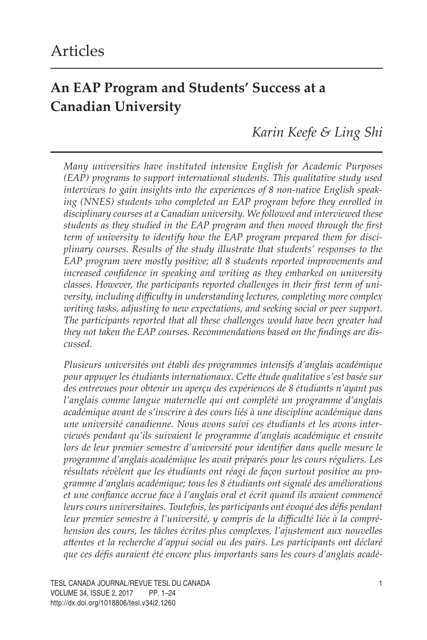# **An EAP Program and Students' Success at a Canadian University**

*Karin Keefe & Ling Shi*

*Many universities have instituted intensive English for Academic Purposes (EAP) programs to support international students. This qualitative study used interviews to gain insights into the experiences of 8 non-native English speaking (NNES) students who completed an EAP program before they enrolled in disciplinary courses at a Canadian university. We followed and interviewed these students as they studied in the EAP program and then moved through the first term of university to identify how the EAP program prepared them for disciplinary courses. Results of the study illustrate that students' responses to the EAP program were mostly positive; all 8 students reported improvements and increased confidence in speaking and writing as they embarked on university classes. However, the participants reported challenges in their first term of university, including difficulty in understanding lectures, completing more complex writing tasks, adjusting to new expectations, and seeking social or peer support. The participants reported that all these challenges would have been greater had they not taken the EAP courses. Recommendations based on the findings are discussed.*

*Plusieurs universités ont établi des programmes intensifs d'anglais académique pour appuyer les étudiants internationaux. Cette étude qualitative s'est basée sur des entrevues pour obtenir un aperçu des expériences de 8 étudiants n'ayant pas l'anglais comme langue maternelle qui ont complété un programme d'anglais académique avant de s'inscrire à des cours liés à une discipline académique dans une université canadienne. Nous avons suivi ces étudiants et les avons interviewés pendant qu'ils suivaient le programme d'anglais académique et ensuite lors de leur premier semestre d'université pour identifier dans quelle mesure le programme d'anglais académique les avait préparés pour les cours réguliers. Les résultats révèlent que les étudiants ont réagi de façon surtout positive au programme d'anglais académique; tous les 8 étudiants ont signalé des améliorations et une confiance accrue face à l'anglais oral et écrit quand ils avaient commencé leurs cours universitaires. Toutefois, les participants ont évoqué des défis pendant leur premier semestre à l'université, y compris de la difficulté liée à la compréhension des cours, les tâches écrites plus complexes, l'ajustement aux nouvelles attentes et la recherche d'appui social ou des pairs. Les participants ont déclaré que ces défis auraient été encore plus importants sans les cours d'anglais acadé-*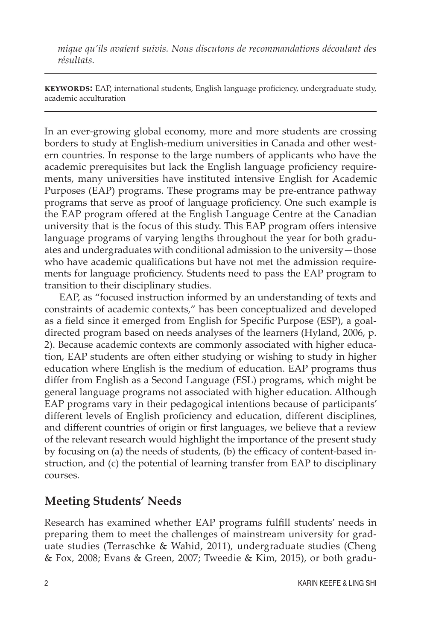*mique qu'ils avaient suivis. Nous discutons de recommandations découlant des résultats.* 

**keywords:** EAP, international students, English language proficiency, undergraduate study, academic acculturation

In an ever-growing global economy, more and more students are crossing borders to study at English-medium universities in Canada and other western countries. In response to the large numbers of applicants who have the academic prerequisites but lack the English language proficiency requirements, many universities have instituted intensive English for Academic Purposes (EAP) programs. These programs may be pre-entrance pathway programs that serve as proof of language proficiency. One such example is the EAP program offered at the English Language Centre at the Canadian university that is the focus of this study. This EAP program offers intensive language programs of varying lengths throughout the year for both graduates and undergraduates with conditional admission to the university—those who have academic qualifications but have not met the admission requirements for language proficiency. Students need to pass the EAP program to transition to their disciplinary studies.

EAP, as "focused instruction informed by an understanding of texts and constraints of academic contexts," has been conceptualized and developed as a field since it emerged from English for Specific Purpose (ESP), a goaldirected program based on needs analyses of the learners (Hyland, 2006, p. 2). Because academic contexts are commonly associated with higher education, EAP students are often either studying or wishing to study in higher education where English is the medium of education. EAP programs thus differ from English as a Second Language (ESL) programs, which might be general language programs not associated with higher education. Although EAP programs vary in their pedagogical intentions because of participants' different levels of English proficiency and education, different disciplines, and different countries of origin or first languages, we believe that a review of the relevant research would highlight the importance of the present study by focusing on (a) the needs of students, (b) the efficacy of content-based instruction, and (c) the potential of learning transfer from EAP to disciplinary courses.

### **Meeting Students' Needs**

Research has examined whether EAP programs fulfill students' needs in preparing them to meet the challenges of mainstream university for graduate studies (Terraschke & Wahid, 2011), undergraduate studies (Cheng & Fox, 2008; Evans & Green, 2007; Tweedie & Kim, 2015), or both gradu-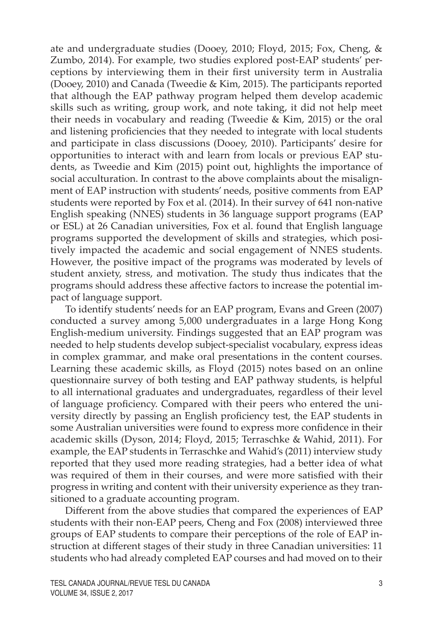ate and undergraduate studies (Dooey, 2010; Floyd, 2015; Fox, Cheng, & Zumbo, 2014). For example, two studies explored post-EAP students' perceptions by interviewing them in their first university term in Australia (Dooey, 2010) and Canada (Tweedie & Kim, 2015). The participants reported that although the EAP pathway program helped them develop academic skills such as writing, group work, and note taking, it did not help meet their needs in vocabulary and reading (Tweedie & Kim, 2015) or the oral and listening proficiencies that they needed to integrate with local students and participate in class discussions (Dooey, 2010). Participants' desire for opportunities to interact with and learn from locals or previous EAP students, as Tweedie and Kim (2015) point out, highlights the importance of social acculturation. In contrast to the above complaints about the misalignment of EAP instruction with students' needs, positive comments from EAP students were reported by Fox et al. (2014). In their survey of 641 non-native English speaking (NNES) students in 36 language support programs (EAP or ESL) at 26 Canadian universities, Fox et al. found that English language programs supported the development of skills and strategies, which positively impacted the academic and social engagement of NNES students. However, the positive impact of the programs was moderated by levels of student anxiety, stress, and motivation. The study thus indicates that the programs should address these affective factors to increase the potential impact of language support.

To identify students' needs for an EAP program, Evans and Green (2007) conducted a survey among 5,000 undergraduates in a large Hong Kong English-medium university. Findings suggested that an EAP program was needed to help students develop subject-specialist vocabulary, express ideas in complex grammar, and make oral presentations in the content courses. Learning these academic skills, as Floyd (2015) notes based on an online questionnaire survey of both testing and EAP pathway students, is helpful to all international graduates and undergraduates, regardless of their level of language proficiency. Compared with their peers who entered the university directly by passing an English proficiency test, the EAP students in some Australian universities were found to express more confidence in their academic skills (Dyson, 2014; Floyd, 2015; Terraschke & Wahid, 2011). For example, the EAP students in Terraschke and Wahid's (2011) interview study reported that they used more reading strategies, had a better idea of what was required of them in their courses, and were more satisfied with their progress in writing and content with their university experience as they transitioned to a graduate accounting program.

Different from the above studies that compared the experiences of EAP students with their non-EAP peers, Cheng and Fox (2008) interviewed three groups of EAP students to compare their perceptions of the role of EAP instruction at different stages of their study in three Canadian universities: 11 students who had already completed EAP courses and had moved on to their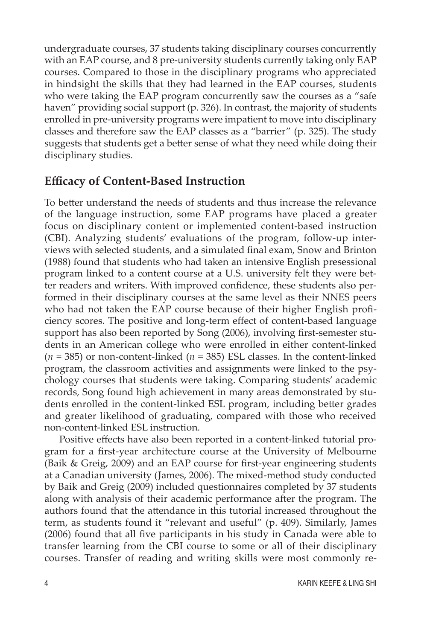undergraduate courses, 37 students taking disciplinary courses concurrently with an EAP course, and 8 pre-university students currently taking only EAP courses. Compared to those in the disciplinary programs who appreciated in hindsight the skills that they had learned in the EAP courses, students who were taking the EAP program concurrently saw the courses as a "safe haven" providing social support (p. 326). In contrast, the majority of students enrolled in pre-university programs were impatient to move into disciplinary classes and therefore saw the EAP classes as a "barrier" (p. 325). The study suggests that students get a better sense of what they need while doing their disciplinary studies.

#### **Efficacy of Content-Based Instruction**

To better understand the needs of students and thus increase the relevance of the language instruction, some EAP programs have placed a greater focus on disciplinary content or implemented content-based instruction (CBI). Analyzing students' evaluations of the program, follow-up interviews with selected students, and a simulated final exam, Snow and Brinton (1988) found that students who had taken an intensive English presessional program linked to a content course at a U.S. university felt they were better readers and writers. With improved confidence, these students also performed in their disciplinary courses at the same level as their NNES peers who had not taken the EAP course because of their higher English proficiency scores. The positive and long-term effect of content-based language support has also been reported by Song (2006), involving first-semester students in an American college who were enrolled in either content-linked  $(n = 385)$  or non-content-linked  $(n = 385)$  ESL classes. In the content-linked program, the classroom activities and assignments were linked to the psychology courses that students were taking. Comparing students' academic records, Song found high achievement in many areas demonstrated by students enrolled in the content-linked ESL program, including better grades and greater likelihood of graduating, compared with those who received non-content-linked ESL instruction.

Positive effects have also been reported in a content-linked tutorial program for a first-year architecture course at the University of Melbourne (Baik & Greig, 2009) and an EAP course for first-year engineering students at a Canadian university (James, 2006). The mixed-method study conducted by Baik and Greig (2009) included questionnaires completed by 37 students along with analysis of their academic performance after the program. The authors found that the attendance in this tutorial increased throughout the term, as students found it "relevant and useful" (p. 409). Similarly, James (2006) found that all five participants in his study in Canada were able to transfer learning from the CBI course to some or all of their disciplinary courses. Transfer of reading and writing skills were most commonly re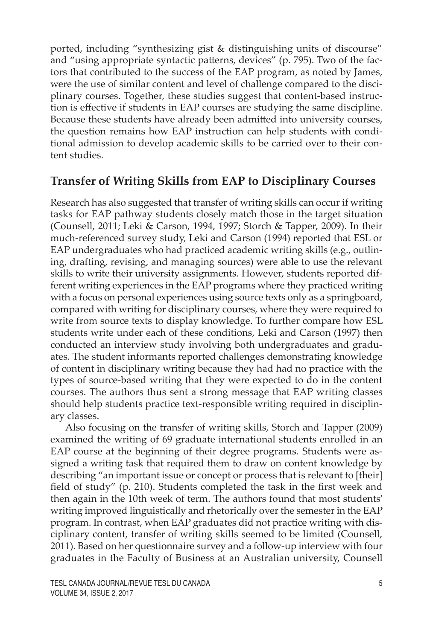ported, including "synthesizing gist & distinguishing units of discourse" and "using appropriate syntactic patterns, devices" (p. 795). Two of the factors that contributed to the success of the EAP program, as noted by James, were the use of similar content and level of challenge compared to the disciplinary courses. Together, these studies suggest that content-based instruction is effective if students in EAP courses are studying the same discipline. Because these students have already been admitted into university courses, the question remains how EAP instruction can help students with conditional admission to develop academic skills to be carried over to their content studies.

### **Transfer of Writing Skills from EAP to Disciplinary Courses**

Research has also suggested that transfer of writing skills can occur if writing tasks for EAP pathway students closely match those in the target situation (Counsell, 2011; Leki & Carson, 1994, 1997; Storch & Tapper, 2009). In their much-referenced survey study, Leki and Carson (1994) reported that ESL or EAP undergraduates who had practiced academic writing skills (e.g., outlining, drafting, revising, and managing sources) were able to use the relevant skills to write their university assignments. However, students reported different writing experiences in the EAP programs where they practiced writing with a focus on personal experiences using source texts only as a springboard, compared with writing for disciplinary courses, where they were required to write from source texts to display knowledge. To further compare how ESL students write under each of these conditions, Leki and Carson (1997) then conducted an interview study involving both undergraduates and graduates. The student informants reported challenges demonstrating knowledge of content in disciplinary writing because they had had no practice with the types of source-based writing that they were expected to do in the content courses. The authors thus sent a strong message that EAP writing classes should help students practice text-responsible writing required in disciplinary classes.

Also focusing on the transfer of writing skills, Storch and Tapper (2009) examined the writing of 69 graduate international students enrolled in an EAP course at the beginning of their degree programs. Students were assigned a writing task that required them to draw on content knowledge by describing "an important issue or concept or process that is relevant to [their] field of study" (p. 210). Students completed the task in the first week and then again in the 10th week of term. The authors found that most students' writing improved linguistically and rhetorically over the semester in the EAP program. In contrast, when EAP graduates did not practice writing with disciplinary content, transfer of writing skills seemed to be limited (Counsell, 2011). Based on her questionnaire survey and a follow-up interview with four graduates in the Faculty of Business at an Australian university, Counsell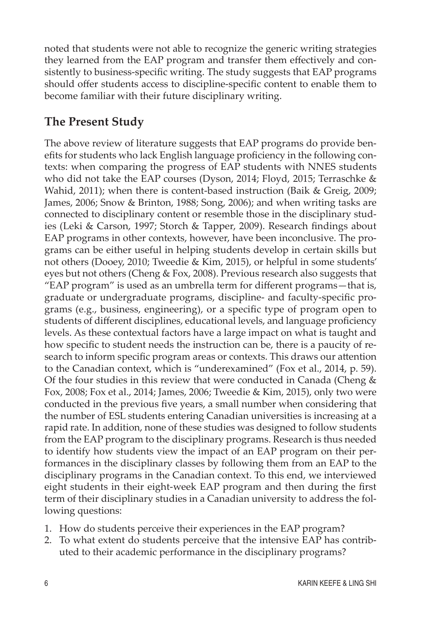noted that students were not able to recognize the generic writing strategies they learned from the EAP program and transfer them effectively and consistently to business-specific writing. The study suggests that EAP programs should offer students access to discipline-specific content to enable them to become familiar with their future disciplinary writing.

### **The Present Study**

The above review of literature suggests that EAP programs do provide benefits for students who lack English language proficiency in the following contexts: when comparing the progress of EAP students with NNES students who did not take the EAP courses (Dyson, 2014; Floyd, 2015; Terraschke & Wahid, 2011); when there is content-based instruction (Baik & Greig, 2009; James, 2006; Snow & Brinton, 1988; Song, 2006); and when writing tasks are connected to disciplinary content or resemble those in the disciplinary studies (Leki & Carson, 1997; Storch & Tapper, 2009). Research findings about EAP programs in other contexts, however, have been inconclusive. The programs can be either useful in helping students develop in certain skills but not others (Dooey, 2010; Tweedie & Kim, 2015), or helpful in some students' eyes but not others (Cheng & Fox, 2008). Previous research also suggests that "EAP program" is used as an umbrella term for different programs—that is, graduate or undergraduate programs, discipline- and faculty-specific programs (e.g., business, engineering), or a specific type of program open to students of different disciplines, educational levels, and language proficiency levels. As these contextual factors have a large impact on what is taught and how specific to student needs the instruction can be, there is a paucity of research to inform specific program areas or contexts. This draws our attention to the Canadian context, which is "underexamined" (Fox et al., 2014, p. 59). Of the four studies in this review that were conducted in Canada (Cheng  $&$ Fox, 2008; Fox et al., 2014; James, 2006; Tweedie & Kim, 2015), only two were conducted in the previous five years, a small number when considering that the number of ESL students entering Canadian universities is increasing at a rapid rate. In addition, none of these studies was designed to follow students from the EAP program to the disciplinary programs. Research is thus needed to identify how students view the impact of an EAP program on their performances in the disciplinary classes by following them from an EAP to the disciplinary programs in the Canadian context. To this end, we interviewed eight students in their eight-week EAP program and then during the first term of their disciplinary studies in a Canadian university to address the following questions:

- 1. How do students perceive their experiences in the EAP program?
- 2. To what extent do students perceive that the intensive EAP has contributed to their academic performance in the disciplinary programs?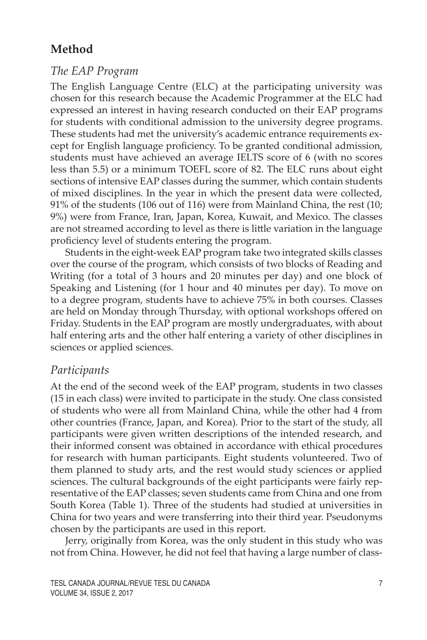### **Method**

#### *The EAP Program*

The English Language Centre (ELC) at the participating university was chosen for this research because the Academic Programmer at the ELC had expressed an interest in having research conducted on their EAP programs for students with conditional admission to the university degree programs. These students had met the university's academic entrance requirements except for English language proficiency. To be granted conditional admission, students must have achieved an average IELTS score of 6 (with no scores less than 5.5) or a minimum TOEFL score of 82. The ELC runs about eight sections of intensive EAP classes during the summer, which contain students of mixed disciplines. In the year in which the present data were collected, 91% of the students (106 out of 116) were from Mainland China, the rest (10; 9%) were from France, Iran, Japan, Korea, Kuwait, and Mexico. The classes are not streamed according to level as there is little variation in the language proficiency level of students entering the program.

Students in the eight-week EAP program take two integrated skills classes over the course of the program, which consists of two blocks of Reading and Writing (for a total of 3 hours and 20 minutes per day) and one block of Speaking and Listening (for 1 hour and 40 minutes per day). To move on to a degree program, students have to achieve 75% in both courses. Classes are held on Monday through Thursday, with optional workshops offered on Friday. Students in the EAP program are mostly undergraduates, with about half entering arts and the other half entering a variety of other disciplines in sciences or applied sciences.

### *Participants*

At the end of the second week of the EAP program, students in two classes (15 in each class) were invited to participate in the study. One class consisted of students who were all from Mainland China, while the other had 4 from other countries (France, Japan, and Korea). Prior to the start of the study, all participants were given written descriptions of the intended research, and their informed consent was obtained in accordance with ethical procedures for research with human participants. Eight students volunteered. Two of them planned to study arts, and the rest would study sciences or applied sciences. The cultural backgrounds of the eight participants were fairly representative of the EAP classes; seven students came from China and one from South Korea (Table 1). Three of the students had studied at universities in China for two years and were transferring into their third year. Pseudonyms chosen by the participants are used in this report.

Jerry, originally from Korea, was the only student in this study who was not from China. However, he did not feel that having a large number of class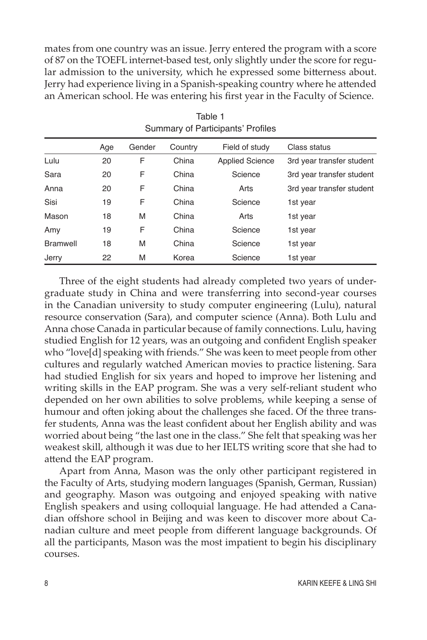mates from one country was an issue. Jerry entered the program with a score of 87 on the TOEFL internet-based test, only slightly under the score for regular admission to the university, which he expressed some bitterness about. Jerry had experience living in a Spanish-speaking country where he attended an American school. He was entering his first year in the Faculty of Science.

| Summary of Participants' Profiles |     |        |         |                        |                           |  |  |
|-----------------------------------|-----|--------|---------|------------------------|---------------------------|--|--|
|                                   | Age | Gender | Country | Field of study         | Class status              |  |  |
| Lulu                              | 20  | F      | China   | <b>Applied Science</b> | 3rd year transfer student |  |  |
| Sara                              | 20  | F      | China   | Science                | 3rd year transfer student |  |  |
| Anna                              | 20  | F      | China   | Arts                   | 3rd year transfer student |  |  |
| Sisi                              | 19  | F      | China   | Science                | 1st year                  |  |  |
| Mason                             | 18  | M      | China   | Arts                   | 1st year                  |  |  |
| Amy                               | 19  | F      | China   | Science                | 1st year                  |  |  |
| <b>Bramwell</b>                   | 18  | M      | China   | Science                | 1st year                  |  |  |
| Jerry                             | 22  | M      | Korea   | Science                | 1st year                  |  |  |
|                                   |     |        |         |                        |                           |  |  |

| Table 1                           |  |
|-----------------------------------|--|
| Summary of Participants' Profiles |  |

Three of the eight students had already completed two years of undergraduate study in China and were transferring into second-year courses in the Canadian university to study computer engineering (Lulu), natural resource conservation (Sara), and computer science (Anna). Both Lulu and Anna chose Canada in particular because of family connections. Lulu, having studied English for 12 years, was an outgoing and confident English speaker who "love[d] speaking with friends." She was keen to meet people from other cultures and regularly watched American movies to practice listening. Sara had studied English for six years and hoped to improve her listening and writing skills in the EAP program. She was a very self-reliant student who depended on her own abilities to solve problems, while keeping a sense of humour and often joking about the challenges she faced. Of the three transfer students, Anna was the least confident about her English ability and was worried about being "the last one in the class." She felt that speaking was her weakest skill, although it was due to her IELTS writing score that she had to attend the EAP program.

Apart from Anna, Mason was the only other participant registered in the Faculty of Arts, studying modern languages (Spanish, German, Russian) and geography. Mason was outgoing and enjoyed speaking with native English speakers and using colloquial language. He had attended a Canadian offshore school in Beijing and was keen to discover more about Canadian culture and meet people from different language backgrounds. Of all the participants, Mason was the most impatient to begin his disciplinary courses.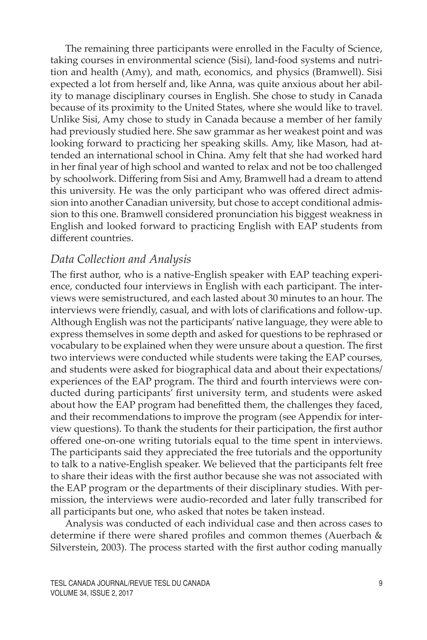The remaining three participants were enrolled in the Faculty of Science, taking courses in environmental science (Sisi), land-food systems and nutrition and health (Amy), and math, economics, and physics (Bramwell). Sisi expected a lot from herself and, like Anna, was quite anxious about her ability to manage disciplinary courses in English. She chose to study in Canada because of its proximity to the United States, where she would like to travel. Unlike Sisi, Amy chose to study in Canada because a member of her family had previously studied here. She saw grammar as her weakest point and was looking forward to practicing her speaking skills. Amy, like Mason, had attended an international school in China. Amy felt that she had worked hard in her final year of high school and wanted to relax and not be too challenged by schoolwork. Differing from Sisi and Amy, Bramwell had a dream to attend this university. He was the only participant who was offered direct admission into another Canadian university, but chose to accept conditional admission to this one. Bramwell considered pronunciation his biggest weakness in English and looked forward to practicing English with EAP students from different countries.

#### *Data Collection and Analysis*

The first author, who is a native-English speaker with EAP teaching experience, conducted four interviews in English with each participant. The interviews were semistructured, and each lasted about 30 minutes to an hour. The interviews were friendly, casual, and with lots of clarifications and follow-up. Although English was not the participants' native language, they were able to express themselves in some depth and asked for questions to be rephrased or vocabulary to be explained when they were unsure about a question. The first two interviews were conducted while students were taking the EAP courses, and students were asked for biographical data and about their expectations/ experiences of the EAP program. The third and fourth interviews were conducted during participants' first university term, and students were asked about how the EAP program had benefitted them, the challenges they faced, and their recommendations to improve the program (see Appendix for interview questions). To thank the students for their participation, the first author offered one-on-one writing tutorials equal to the time spent in interviews. The participants said they appreciated the free tutorials and the opportunity to talk to a native-English speaker. We believed that the participants felt free to share their ideas with the first author because she was not associated with the EAP program or the departments of their disciplinary studies. With permission, the interviews were audio-recorded and later fully transcribed for all participants but one, who asked that notes be taken instead.

Analysis was conducted of each individual case and then across cases to determine if there were shared profiles and common themes (Auerbach & Silverstein, 2003). The process started with the first author coding manually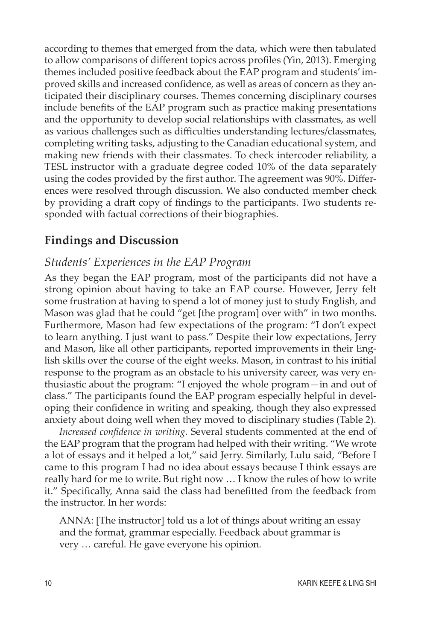according to themes that emerged from the data, which were then tabulated to allow comparisons of different topics across profiles (Yin, 2013). Emerging themes included positive feedback about the EAP program and students' improved skills and increased confidence, as well as areas of concern as they anticipated their disciplinary courses. Themes concerning disciplinary courses include benefits of the EAP program such as practice making presentations and the opportunity to develop social relationships with classmates, as well as various challenges such as difficulties understanding lectures/classmates, completing writing tasks, adjusting to the Canadian educational system, and making new friends with their classmates. To check intercoder reliability, a TESL instructor with a graduate degree coded 10% of the data separately using the codes provided by the first author. The agreement was 90%. Differences were resolved through discussion. We also conducted member check by providing a draft copy of findings to the participants. Two students responded with factual corrections of their biographies.

### **Findings and Discussion**

#### *Students' Experiences in the EAP Program*

As they began the EAP program, most of the participants did not have a strong opinion about having to take an EAP course. However, Jerry felt some frustration at having to spend a lot of money just to study English, and Mason was glad that he could "get [the program] over with" in two months. Furthermore, Mason had few expectations of the program: "I don't expect to learn anything. I just want to pass." Despite their low expectations, Jerry and Mason, like all other participants, reported improvements in their English skills over the course of the eight weeks. Mason, in contrast to his initial response to the program as an obstacle to his university career, was very enthusiastic about the program: "I enjoyed the whole program—in and out of class." The participants found the EAP program especially helpful in developing their confidence in writing and speaking, though they also expressed anxiety about doing well when they moved to disciplinary studies (Table 2).

*Increased confidence in writing.* Several students commented at the end of the EAP program that the program had helped with their writing. "We wrote a lot of essays and it helped a lot," said Jerry. Similarly, Lulu said, "Before I came to this program I had no idea about essays because I think essays are really hard for me to write. But right now … I know the rules of how to write it." Specifically, Anna said the class had benefitted from the feedback from the instructor. In her words:

ANNA: [The instructor] told us a lot of things about writing an essay and the format, grammar especially. Feedback about grammar is very … careful. He gave everyone his opinion.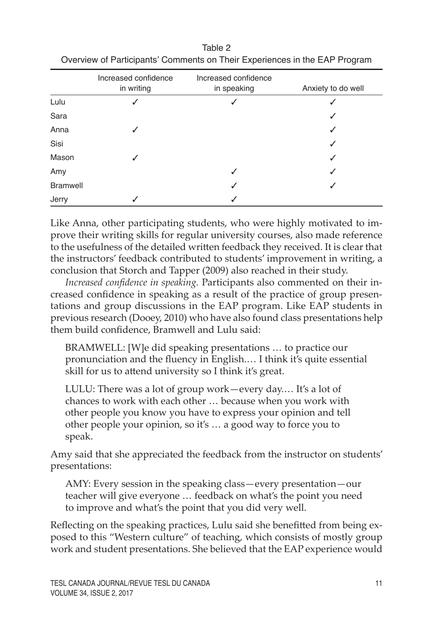|                 | Increased confidence<br>in writing | Increased confidence<br>in speaking | Anxiety to do well |
|-----------------|------------------------------------|-------------------------------------|--------------------|
|                 |                                    |                                     |                    |
| Lulu            | ✓                                  | ✓                                   | $\checkmark$       |
| Sara            |                                    |                                     | ✓                  |
| Anna            |                                    |                                     | ✓                  |
| Sisi            |                                    |                                     | $\checkmark$       |
| Mason           |                                    |                                     |                    |
| Amy             |                                    | √                                   | J                  |
| <b>Bramwell</b> |                                    | ✓                                   | $\checkmark$       |
| Jerry           |                                    |                                     |                    |

| Table 2                                                                    |
|----------------------------------------------------------------------------|
| Overview of Participants' Comments on Their Experiences in the EAP Program |

Like Anna, other participating students, who were highly motivated to improve their writing skills for regular university courses, also made reference to the usefulness of the detailed written feedback they received. It is clear that the instructors' feedback contributed to students' improvement in writing, a conclusion that Storch and Tapper (2009) also reached in their study.

*Increased confidence in speaking.* Participants also commented on their increased confidence in speaking as a result of the practice of group presentations and group discussions in the EAP program. Like EAP students in previous research (Dooey, 2010) who have also found class presentations help them build confidence, Bramwell and Lulu said:

BRAMWELL: [W]e did speaking presentations … to practice our pronunciation and the fluency in English.… I think it's quite essential skill for us to attend university so I think it's great.

LULU: There was a lot of group work—every day.… It's a lot of chances to work with each other … because when you work with other people you know you have to express your opinion and tell other people your opinion, so it's … a good way to force you to speak.

Amy said that she appreciated the feedback from the instructor on students' presentations:

AMY: Every session in the speaking class—every presentation—our teacher will give everyone … feedback on what's the point you need to improve and what's the point that you did very well.

Reflecting on the speaking practices, Lulu said she benefitted from being exposed to this "Western culture" of teaching, which consists of mostly group work and student presentations. She believed that the EAP experience would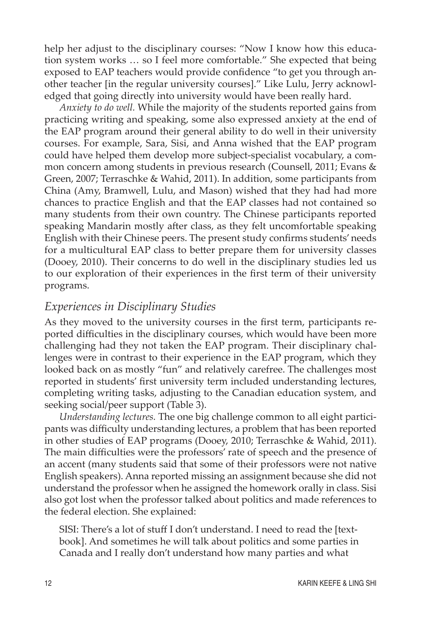help her adjust to the disciplinary courses: "Now I know how this education system works … so I feel more comfortable." She expected that being exposed to EAP teachers would provide confidence "to get you through another teacher [in the regular university courses]." Like Lulu, Jerry acknowledged that going directly into university would have been really hard.

*Anxiety to do well.* While the majority of the students reported gains from practicing writing and speaking, some also expressed anxiety at the end of the EAP program around their general ability to do well in their university courses. For example, Sara, Sisi, and Anna wished that the EAP program could have helped them develop more subject-specialist vocabulary, a common concern among students in previous research (Counsell, 2011; Evans & Green, 2007; Terraschke & Wahid, 2011). In addition, some participants from China (Amy, Bramwell, Lulu, and Mason) wished that they had had more chances to practice English and that the EAP classes had not contained so many students from their own country. The Chinese participants reported speaking Mandarin mostly after class, as they felt uncomfortable speaking English with their Chinese peers. The present study confirms students' needs for a multicultural EAP class to better prepare them for university classes (Dooey, 2010). Their concerns to do well in the disciplinary studies led us to our exploration of their experiences in the first term of their university programs.

#### *Experiences in Disciplinary Studies*

As they moved to the university courses in the first term, participants reported difficulties in the disciplinary courses, which would have been more challenging had they not taken the EAP program. Their disciplinary challenges were in contrast to their experience in the EAP program, which they looked back on as mostly "fun" and relatively carefree. The challenges most reported in students' first university term included understanding lectures, completing writing tasks, adjusting to the Canadian education system, and seeking social/peer support (Table 3).

*Understanding lectures.* The one big challenge common to all eight participants was difficulty understanding lectures, a problem that has been reported in other studies of EAP programs (Dooey, 2010; Terraschke & Wahid, 2011). The main difficulties were the professors' rate of speech and the presence of an accent (many students said that some of their professors were not native English speakers). Anna reported missing an assignment because she did not understand the professor when he assigned the homework orally in class. Sisi also got lost when the professor talked about politics and made references to the federal election. She explained:

SISI: There's a lot of stuff I don't understand. I need to read the [textbook]. And sometimes he will talk about politics and some parties in Canada and I really don't understand how many parties and what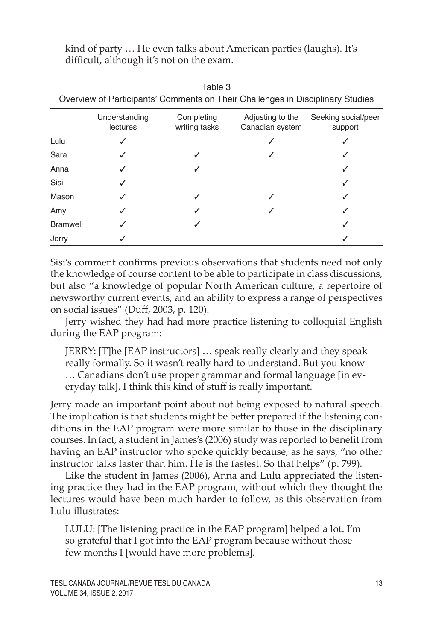kind of party … He even talks about American parties (laughs). It's difficult, although it's not on the exam.

| Overview or Family antis Comments on Their Onalienges in Disciplinary Ottalies |                           |                             |                                     |                                |  |  |
|--------------------------------------------------------------------------------|---------------------------|-----------------------------|-------------------------------------|--------------------------------|--|--|
|                                                                                | Understanding<br>lectures | Completing<br>writing tasks | Adjusting to the<br>Canadian system | Seeking social/peer<br>support |  |  |
| Lulu                                                                           |                           |                             |                                     |                                |  |  |
| Sara                                                                           |                           |                             |                                     |                                |  |  |
| Anna                                                                           |                           |                             |                                     |                                |  |  |
| Sisi                                                                           |                           |                             |                                     |                                |  |  |
| Mason                                                                          |                           |                             |                                     |                                |  |  |
| Amy                                                                            |                           |                             |                                     |                                |  |  |
| <b>Bramwell</b>                                                                |                           |                             |                                     |                                |  |  |
| Jerry                                                                          |                           |                             |                                     |                                |  |  |

Table 3 Overview of Participants' Comments on Their Challenges in Disciplinary Studies

Sisi's comment confirms previous observations that students need not only the knowledge of course content to be able to participate in class discussions, but also "a knowledge of popular North American culture, a repertoire of newsworthy current events, and an ability to express a range of perspectives on social issues" (Duff, 2003, p. 120).

Jerry wished they had had more practice listening to colloquial English during the EAP program:

JERRY: [T]he [EAP instructors] … speak really clearly and they speak really formally. So it wasn't really hard to understand. But you know … Canadians don't use proper grammar and formal language [in everyday talk]. I think this kind of stuff is really important.

Jerry made an important point about not being exposed to natural speech. The implication is that students might be better prepared if the listening conditions in the EAP program were more similar to those in the disciplinary courses. In fact, a student in James's (2006) study was reported to benefit from having an EAP instructor who spoke quickly because, as he says, "no other instructor talks faster than him. He is the fastest. So that helps" (p. 799).

Like the student in James (2006), Anna and Lulu appreciated the listening practice they had in the EAP program, without which they thought the lectures would have been much harder to follow, as this observation from Lulu illustrates:

LULU: [The listening practice in the EAP program] helped a lot. I'm so grateful that I got into the EAP program because without those few months I [would have more problems].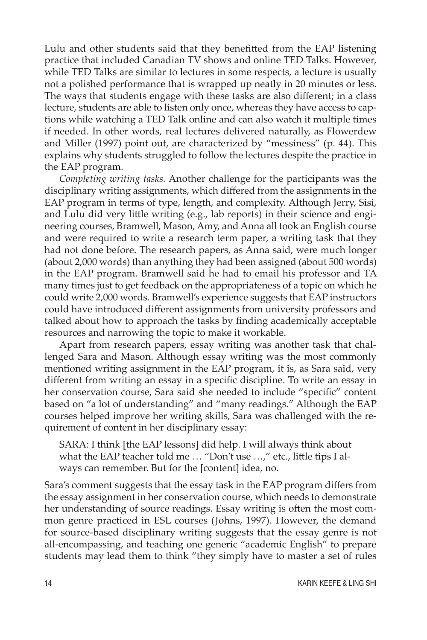Lulu and other students said that they benefitted from the EAP listening practice that included Canadian TV shows and online TED Talks. However, while TED Talks are similar to lectures in some respects, a lecture is usually not a polished performance that is wrapped up neatly in 20 minutes or less. The ways that students engage with these tasks are also different; in a class lecture, students are able to listen only once, whereas they have access to captions while watching a TED Talk online and can also watch it multiple times if needed. In other words, real lectures delivered naturally, as Flowerdew and Miller (1997) point out, are characterized by "messiness" (p. 44). This explains why students struggled to follow the lectures despite the practice in the EAP program.

*Completing writing tasks.* Another challenge for the participants was the disciplinary writing assignments, which differed from the assignments in the EAP program in terms of type, length, and complexity. Although Jerry, Sisi, and Lulu did very little writing (e.g., lab reports) in their science and engineering courses, Bramwell, Mason, Amy, and Anna all took an English course and were required to write a research term paper, a writing task that they had not done before. The research papers, as Anna said, were much longer (about 2,000 words) than anything they had been assigned (about 500 words) in the EAP program. Bramwell said he had to email his professor and TA many times just to get feedback on the appropriateness of a topic on which he could write 2,000 words. Bramwell's experience suggests that EAP instructors could have introduced different assignments from university professors and talked about how to approach the tasks by finding academically acceptable resources and narrowing the topic to make it workable.

Apart from research papers, essay writing was another task that challenged Sara and Mason. Although essay writing was the most commonly mentioned writing assignment in the EAP program, it is, as Sara said, very different from writing an essay in a specific discipline. To write an essay in her conservation course, Sara said she needed to include "specific" content based on "a lot of understanding" and "many readings." Although the EAP courses helped improve her writing skills, Sara was challenged with the requirement of content in her disciplinary essay:

SARA: I think [the EAP lessons] did help. I will always think about what the EAP teacher told me … "Don't use …," etc., little tips I always can remember. But for the [content] idea, no.

Sara's comment suggests that the essay task in the EAP program differs from the essay assignment in her conservation course, which needs to demonstrate her understanding of source readings. Essay writing is often the most common genre practiced in ESL courses (Johns, 1997). However, the demand for source-based disciplinary writing suggests that the essay genre is not all-encompassing, and teaching one generic "academic English" to prepare students may lead them to think "they simply have to master a set of rules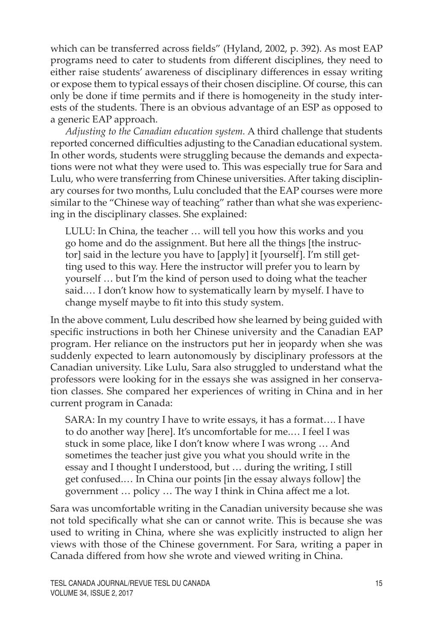which can be transferred across fields" (Hyland, 2002, p. 392). As most EAP programs need to cater to students from different disciplines, they need to either raise students' awareness of disciplinary differences in essay writing or expose them to typical essays of their chosen discipline. Of course, this can only be done if time permits and if there is homogeneity in the study interests of the students. There is an obvious advantage of an ESP as opposed to a generic EAP approach.

*Adjusting to the Canadian education system.* A third challenge that students reported concerned difficulties adjusting to the Canadian educational system. In other words, students were struggling because the demands and expectations were not what they were used to. This was especially true for Sara and Lulu, who were transferring from Chinese universities. After taking disciplinary courses for two months, Lulu concluded that the EAP courses were more similar to the "Chinese way of teaching" rather than what she was experiencing in the disciplinary classes. She explained:

LULU: In China, the teacher … will tell you how this works and you go home and do the assignment. But here all the things [the instructor] said in the lecture you have to [apply] it [yourself]. I'm still getting used to this way. Here the instructor will prefer you to learn by yourself … but I'm the kind of person used to doing what the teacher said.… I don't know how to systematically learn by myself. I have to change myself maybe to fit into this study system.

In the above comment, Lulu described how she learned by being guided with specific instructions in both her Chinese university and the Canadian EAP program. Her reliance on the instructors put her in jeopardy when she was suddenly expected to learn autonomously by disciplinary professors at the Canadian university. Like Lulu, Sara also struggled to understand what the professors were looking for in the essays she was assigned in her conservation classes. She compared her experiences of writing in China and in her current program in Canada:

SARA: In my country I have to write essays, it has a format…. I have to do another way [here]. It's uncomfortable for me.… I feel I was stuck in some place, like I don't know where I was wrong … And sometimes the teacher just give you what you should write in the essay and I thought I understood, but … during the writing, I still get confused.… In China our points [in the essay always follow] the government … policy … The way I think in China affect me a lot.

Sara was uncomfortable writing in the Canadian university because she was not told specifically what she can or cannot write. This is because she was used to writing in China, where she was explicitly instructed to align her views with those of the Chinese government. For Sara, writing a paper in Canada differed from how she wrote and viewed writing in China.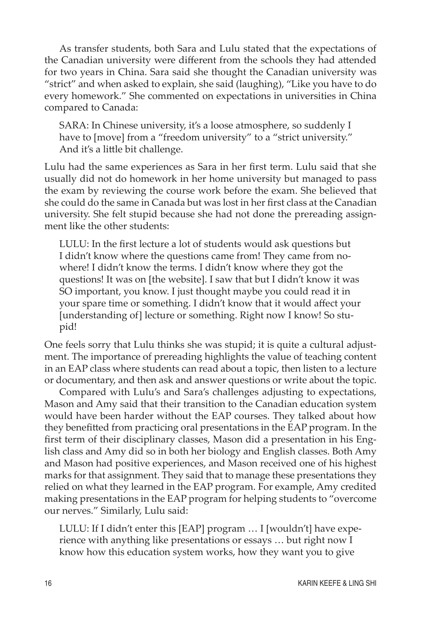As transfer students, both Sara and Lulu stated that the expectations of the Canadian university were different from the schools they had attended for two years in China. Sara said she thought the Canadian university was "strict" and when asked to explain, she said (laughing), "Like you have to do every homework." She commented on expectations in universities in China compared to Canada:

SARA: In Chinese university, it's a loose atmosphere, so suddenly I have to [move] from a "freedom university" to a "strict university." And it's a little bit challenge.

Lulu had the same experiences as Sara in her first term. Lulu said that she usually did not do homework in her home university but managed to pass the exam by reviewing the course work before the exam. She believed that she could do the same in Canada but was lost in her first class at the Canadian university. She felt stupid because she had not done the prereading assignment like the other students:

LULU: In the first lecture a lot of students would ask questions but I didn't know where the questions came from! They came from nowhere! I didn't know the terms. I didn't know where they got the questions! It was on [the website]. I saw that but I didn't know it was SO important, you know. I just thought maybe you could read it in your spare time or something. I didn't know that it would affect your [understanding of] lecture or something. Right now I know! So stupid!

One feels sorry that Lulu thinks she was stupid; it is quite a cultural adjustment. The importance of prereading highlights the value of teaching content in an EAP class where students can read about a topic, then listen to a lecture or documentary, and then ask and answer questions or write about the topic.

Compared with Lulu's and Sara's challenges adjusting to expectations, Mason and Amy said that their transition to the Canadian education system would have been harder without the EAP courses. They talked about how they benefitted from practicing oral presentations in the EAP program. In the first term of their disciplinary classes, Mason did a presentation in his English class and Amy did so in both her biology and English classes. Both Amy and Mason had positive experiences, and Mason received one of his highest marks for that assignment. They said that to manage these presentations they relied on what they learned in the EAP program. For example, Amy credited making presentations in the EAP program for helping students to "overcome our nerves." Similarly, Lulu said:

LULU: If I didn't enter this [EAP] program … I [wouldn't] have experience with anything like presentations or essays … but right now I know how this education system works, how they want you to give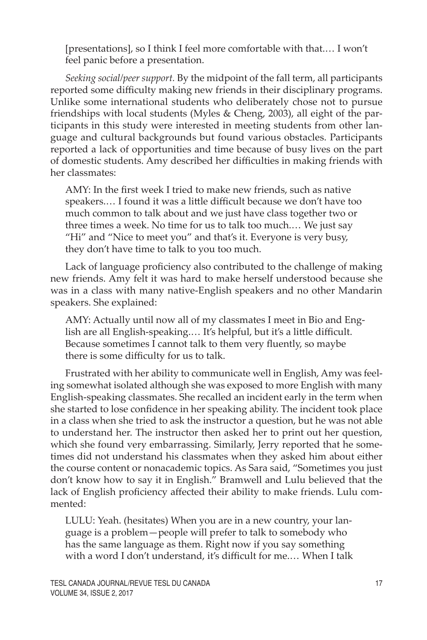[presentations], so I think I feel more comfortable with that.… I won't feel panic before a presentation.

*Seeking social/peer support.* By the midpoint of the fall term, all participants reported some difficulty making new friends in their disciplinary programs. Unlike some international students who deliberately chose not to pursue friendships with local students (Myles & Cheng, 2003), all eight of the participants in this study were interested in meeting students from other language and cultural backgrounds but found various obstacles. Participants reported a lack of opportunities and time because of busy lives on the part of domestic students. Amy described her difficulties in making friends with her classmates:

AMY: In the first week I tried to make new friends, such as native speakers.… I found it was a little difficult because we don't have too much common to talk about and we just have class together two or three times a week. No time for us to talk too much.… We just say "Hi" and "Nice to meet you" and that's it. Everyone is very busy, they don't have time to talk to you too much.

Lack of language proficiency also contributed to the challenge of making new friends. Amy felt it was hard to make herself understood because she was in a class with many native-English speakers and no other Mandarin speakers. She explained:

AMY: Actually until now all of my classmates I meet in Bio and English are all English-speaking.… It's helpful, but it's a little difficult. Because sometimes I cannot talk to them very fluently, so maybe there is some difficulty for us to talk.

Frustrated with her ability to communicate well in English, Amy was feeling somewhat isolated although she was exposed to more English with many English-speaking classmates. She recalled an incident early in the term when she started to lose confidence in her speaking ability. The incident took place in a class when she tried to ask the instructor a question, but he was not able to understand her. The instructor then asked her to print out her question, which she found very embarrassing. Similarly, Jerry reported that he sometimes did not understand his classmates when they asked him about either the course content or nonacademic topics. As Sara said, "Sometimes you just don't know how to say it in English." Bramwell and Lulu believed that the lack of English proficiency affected their ability to make friends. Lulu commented:

LULU: Yeah. (hesitates) When you are in a new country, your language is a problem—people will prefer to talk to somebody who has the same language as them. Right now if you say something with a word I don't understand, it's difficult for me.… When I talk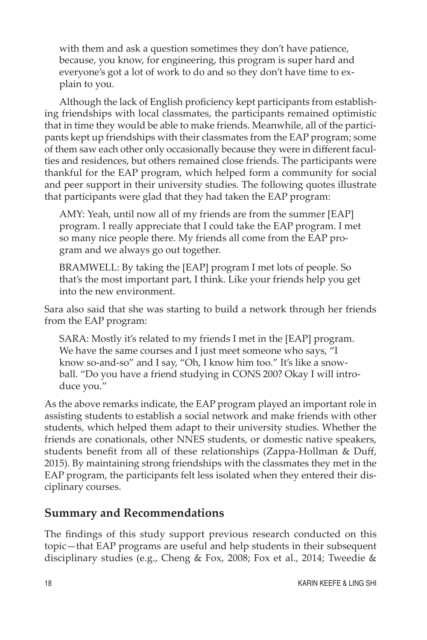with them and ask a question sometimes they don't have patience, because, you know, for engineering, this program is super hard and everyone's got a lot of work to do and so they don't have time to explain to you.

Although the lack of English proficiency kept participants from establishing friendships with local classmates, the participants remained optimistic that in time they would be able to make friends. Meanwhile, all of the participants kept up friendships with their classmates from the EAP program; some of them saw each other only occasionally because they were in different faculties and residences, but others remained close friends. The participants were thankful for the EAP program, which helped form a community for social and peer support in their university studies. The following quotes illustrate that participants were glad that they had taken the EAP program:

AMY: Yeah, until now all of my friends are from the summer [EAP] program. I really appreciate that I could take the EAP program. I met so many nice people there. My friends all come from the EAP program and we always go out together.

BRAMWELL: By taking the [EAP] program I met lots of people. So that's the most important part, I think. Like your friends help you get into the new environment.

Sara also said that she was starting to build a network through her friends from the EAP program:

SARA: Mostly it's related to my friends I met in the [EAP] program. We have the same courses and I just meet someone who says, "I know so-and-so" and I say, "Oh, I know him too." It's like a snowball. "Do you have a friend studying in CONS 200? Okay I will introduce you."

As the above remarks indicate, the EAP program played an important role in assisting students to establish a social network and make friends with other students, which helped them adapt to their university studies. Whether the friends are conationals, other NNES students, or domestic native speakers, students benefit from all of these relationships (Zappa-Hollman & Duff, 2015). By maintaining strong friendships with the classmates they met in the EAP program, the participants felt less isolated when they entered their disciplinary courses.

### **Summary and Recommendations**

The findings of this study support previous research conducted on this topic—that EAP programs are useful and help students in their subsequent disciplinary studies (e.g., Cheng & Fox, 2008; Fox et al., 2014; Tweedie &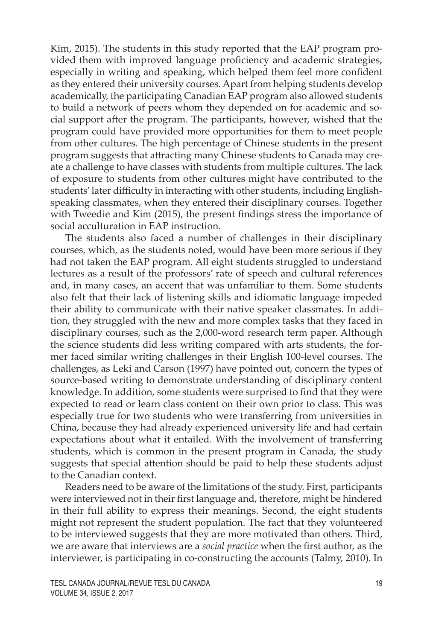Kim, 2015). The students in this study reported that the EAP program provided them with improved language proficiency and academic strategies, especially in writing and speaking, which helped them feel more confident as they entered their university courses. Apart from helping students develop academically, the participating Canadian EAP program also allowed students to build a network of peers whom they depended on for academic and social support after the program. The participants, however, wished that the program could have provided more opportunities for them to meet people from other cultures. The high percentage of Chinese students in the present program suggests that attracting many Chinese students to Canada may create a challenge to have classes with students from multiple cultures. The lack of exposure to students from other cultures might have contributed to the students' later difficulty in interacting with other students, including Englishspeaking classmates, when they entered their disciplinary courses. Together with Tweedie and Kim (2015), the present findings stress the importance of social acculturation in EAP instruction.

The students also faced a number of challenges in their disciplinary courses, which, as the students noted, would have been more serious if they had not taken the EAP program. All eight students struggled to understand lectures as a result of the professors' rate of speech and cultural references and, in many cases, an accent that was unfamiliar to them. Some students also felt that their lack of listening skills and idiomatic language impeded their ability to communicate with their native speaker classmates. In addition, they struggled with the new and more complex tasks that they faced in disciplinary courses, such as the 2,000-word research term paper. Although the science students did less writing compared with arts students, the former faced similar writing challenges in their English 100-level courses. The challenges, as Leki and Carson (1997) have pointed out, concern the types of source-based writing to demonstrate understanding of disciplinary content knowledge. In addition, some students were surprised to find that they were expected to read or learn class content on their own prior to class. This was especially true for two students who were transferring from universities in China, because they had already experienced university life and had certain expectations about what it entailed. With the involvement of transferring students, which is common in the present program in Canada, the study suggests that special attention should be paid to help these students adjust to the Canadian context.

Readers need to be aware of the limitations of the study. First, participants were interviewed not in their first language and, therefore, might be hindered in their full ability to express their meanings. Second, the eight students might not represent the student population. The fact that they volunteered to be interviewed suggests that they are more motivated than others. Third, we are aware that interviews are a *social practice* when the first author, as the interviewer, is participating in co-constructing the accounts (Talmy, 2010). In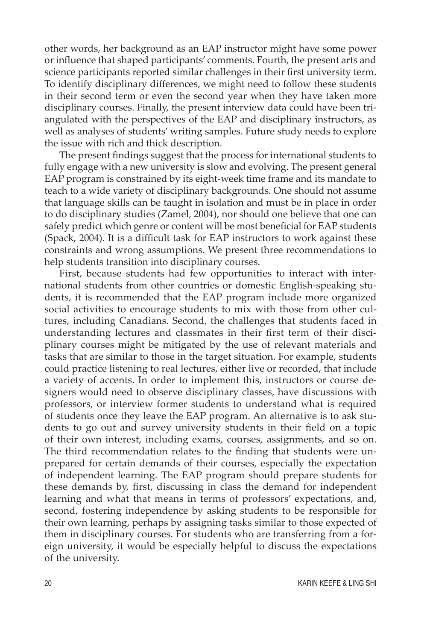other words, her background as an EAP instructor might have some power or influence that shaped participants' comments. Fourth, the present arts and science participants reported similar challenges in their first university term. To identify disciplinary differences, we might need to follow these students in their second term or even the second year when they have taken more disciplinary courses. Finally, the present interview data could have been triangulated with the perspectives of the EAP and disciplinary instructors, as well as analyses of students' writing samples. Future study needs to explore the issue with rich and thick description.

The present findings suggest that the process for international students to fully engage with a new university is slow and evolving. The present general EAP program is constrained by its eight-week time frame and its mandate to teach to a wide variety of disciplinary backgrounds. One should not assume that language skills can be taught in isolation and must be in place in order to do disciplinary studies (Zamel, 2004), nor should one believe that one can safely predict which genre or content will be most beneficial for EAP students (Spack, 2004). It is a difficult task for EAP instructors to work against these constraints and wrong assumptions. We present three recommendations to help students transition into disciplinary courses.

First, because students had few opportunities to interact with international students from other countries or domestic English-speaking students, it is recommended that the EAP program include more organized social activities to encourage students to mix with those from other cultures, including Canadians. Second, the challenges that students faced in understanding lectures and classmates in their first term of their disciplinary courses might be mitigated by the use of relevant materials and tasks that are similar to those in the target situation. For example, students could practice listening to real lectures, either live or recorded, that include a variety of accents. In order to implement this, instructors or course designers would need to observe disciplinary classes, have discussions with professors, or interview former students to understand what is required of students once they leave the EAP program. An alternative is to ask students to go out and survey university students in their field on a topic of their own interest, including exams, courses, assignments, and so on. The third recommendation relates to the finding that students were unprepared for certain demands of their courses, especially the expectation of independent learning. The EAP program should prepare students for these demands by, first, discussing in class the demand for independent learning and what that means in terms of professors' expectations, and, second, fostering independence by asking students to be responsible for their own learning, perhaps by assigning tasks similar to those expected of them in disciplinary courses. For students who are transferring from a foreign university, it would be especially helpful to discuss the expectations of the university.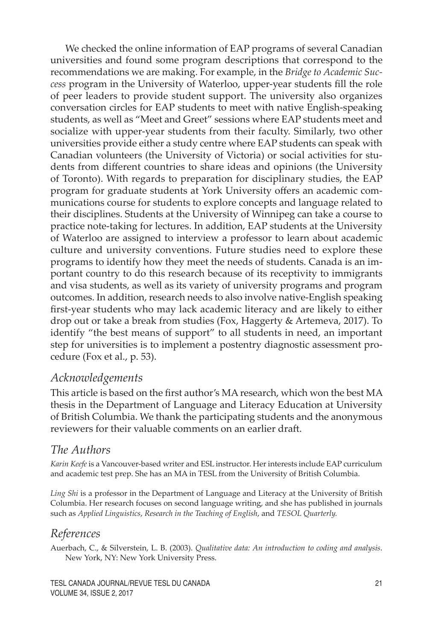We checked the online information of EAP programs of several Canadian universities and found some program descriptions that correspond to the recommendations we are making. For example, in the *Bridge to Academic Success* program in the University of Waterloo, upper-year students fill the role of peer leaders to provide student support. The university also organizes conversation circles for EAP students to meet with native English-speaking students, as well as "Meet and Greet" sessions where EAP students meet and socialize with upper-year students from their faculty. Similarly, two other universities provide either a study centre where EAP students can speak with Canadian volunteers (the University of Victoria) or social activities for students from different countries to share ideas and opinions (the University of Toronto). With regards to preparation for disciplinary studies, the EAP program for graduate students at York University offers an academic communications course for students to explore concepts and language related to their disciplines. Students at the University of Winnipeg can take a course to practice note-taking for lectures. In addition, EAP students at the University of Waterloo are assigned to interview a professor to learn about academic culture and university conventions. Future studies need to explore these programs to identify how they meet the needs of students. Canada is an important country to do this research because of its receptivity to immigrants and visa students, as well as its variety of university programs and program outcomes. In addition, research needs to also involve native-English speaking first-year students who may lack academic literacy and are likely to either drop out or take a break from studies (Fox, Haggerty & Artemeva, 2017). To identify "the best means of support" to all students in need, an important step for universities is to implement a postentry diagnostic assessment procedure (Fox et al., p. 53).

#### *Acknowledgements*

This article is based on the first author's MA research, which won the best MA thesis in the Department of Language and Literacy Education at University of British Columbia. We thank the participating students and the anonymous reviewers for their valuable comments on an earlier draft.

### *The Authors*

*Karin Keefe* is a Vancouver-based writer and ESL instructor. Her interests include EAP curriculum and academic test prep. She has an MA in TESL from the University of British Columbia.

*Ling Shi* is a professor in the Department of Language and Literacy at the University of British Columbia. Her research focuses on second language writing, and she has published in journals such as *Applied Linguistics*, *Research in the Teaching of English*, and *TESOL Quarterly.*

#### *References*

Auerbach, C., & Silverstein, L. B. (2003). *Qualitative data: An introduction to coding and analysis*. New York, NY: New York University Press.

TESL CANADA JOURNAL/REVUE TESL DU CANADA 21 Volume 34, issue 2, 2017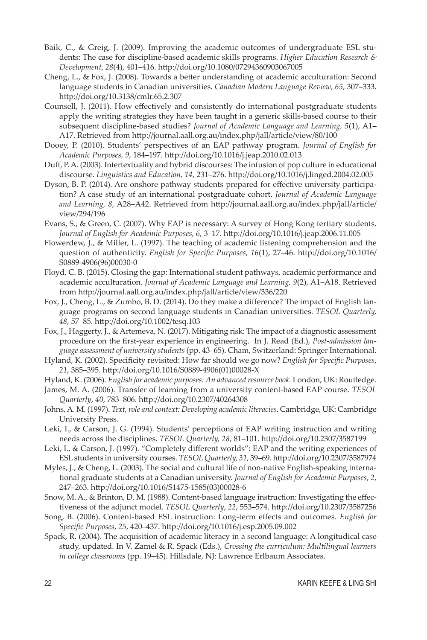- Baik, C., & Greig, J. (2009). Improving the academic outcomes of undergraduate ESL students: The case for discipline‐based academic skills programs. *Higher Education Research & Development*, *28*(4), 401–416. http://doi.org/10.1080/07294360903067005
- Cheng, L., & Fox, J. (2008). Towards a better understanding of academic acculturation: Second language students in Canadian universities. *Canadian Modern Language Review, 65*, 307–333. http://doi.org/10.3138/cmlr.65.2.307
- Counsell, J. (2011). How effectively and consistently do international postgraduate students apply the writing strategies they have been taught in a generic skills-based course to their subsequent discipline-based studies? *Journal of Academic Language and Learning, 5*(1), A1– A17. Retrieved from http://journal.aall.org.au/index.php/jall/article/view/80/100
- Dooey, P. (2010). Students' perspectives of an EAP pathway program. *Journal of English for Academic Purposes, 9*, 184–197. http://doi.org/10.1016/j.jeap.2010.02.013
- Duff, P. A. (2003). Intertextuality and hybrid discourses: The infusion of pop culture in educational discourse. *Linguistics and Education, 14*, 231–276. http://doi.org/10.1016/j.linged.2004.02.005
- Dyson, B. P. (2014). Are onshore pathway students prepared for effective university participation? A case study of an international postgraduate cohort. *Journal of Academic Language and Learning, 8*, A28–A42. Retrieved from http://journal.aall.org.au/index.php/jall/article/ view/294/196
- Evans, S., & Green, C. (2007). Why EAP is necessary: A survey of Hong Kong tertiary students. *Journal of English for Academic Purposes, 6*, 3–17. http://doi.org/10.1016/j.jeap.2006.11.005
- Flowerdew, J., & Miller, L. (1997). The teaching of academic listening comprehension and the question of authenticity. *English for Specific Purposes*, *16*(1), 27–46. http://doi.org/10.1016/ S0889-4906(96)00030-0
- Floyd, C. B. (2015). Closing the gap: International student pathways, academic performance and academic acculturation. *Journal of Academic Language and Learning, 9*(2), A1–A18. Retrieved from http://journal.aall.org.au/index.php/jall/article/view/336/220
- Fox, J., Cheng, L., & Zumbo, B. D. (2014). Do they make a difference? The impact of English language programs on second language students in Canadian universities. *TESOL Quarterly, 48*, 57–85. http://doi.org/10.1002/tesq.103
- Fox, J., Haggerty, J., & Artemeva, N. (2017). Mitigating risk: The impact of a diagnostic assessment procedure on the first-year experience in engineering. In J. Read (Ed.), *Post-admission language assessment of university students* (pp. 43–65). Cham, Switzerland: Springer International.
- Hyland, K. (2002). Specificity revisited: How far should we go now? *English for Specific Purposes*, *21*, 385–395. http://doi.org/10.1016/S0889-4906(01)00028-X
- Hyland, K. (2006). *English for academic purposes: An advanced resource book.* London, UK: Routledge.
- James, M. A. (2006). Transfer of learning from a university content‐based EAP course. *TESOL Quarterly*, *40*, 783–806. http://doi.org/10.2307/40264308
- Johns, A. M. (1997). *Text, role and context: Developing academic literacies*. Cambridge, UK: Cambridge University Press.
- Leki, I., & Carson, J. G. (1994). Students' perceptions of EAP writing instruction and writing needs across the disciplines. *TESOL Quarterly, 28*, 81–101. http://doi.org/10.2307/3587199
- Leki, I., & Carson, J. (1997). "Completely different worlds": EAP and the writing experiences of ESL students in university courses. *TESOL Quarterly, 31*, 39–69. http://doi.org/10.2307/3587974
- Myles, J., & Cheng, L. (2003). The social and cultural life of non-native English-speaking international graduate students at a Canadian university. *Journal of English for Academic Purposes*, *2*, 247–263. http://doi.org/10.1016/S1475-1585(03)00028-6
- Snow, M. A., & Brinton, D. M. (1988). Content-based language instruction: Investigating the effectiveness of the adjunct model. *TESOL Quarterly*, *22*, 553–574. http://doi.org/10.2307/3587256
- Song, B. (2006). Content-based ESL instruction: Long-term effects and outcomes. *English for Specific Purposes*, *25*, 420–437. http://doi.org/10.1016/j.esp.2005.09.002
- Spack, R. (2004). The acquisition of academic literacy in a second language: A longitudical case study, updated. In V. Zamel & R. Spack (Eds.), *Crossing the curriculum: Multilingual learners in college classrooms* (pp. 19–45). Hillsdale, NJ: Lawrence Erlbaum Associates.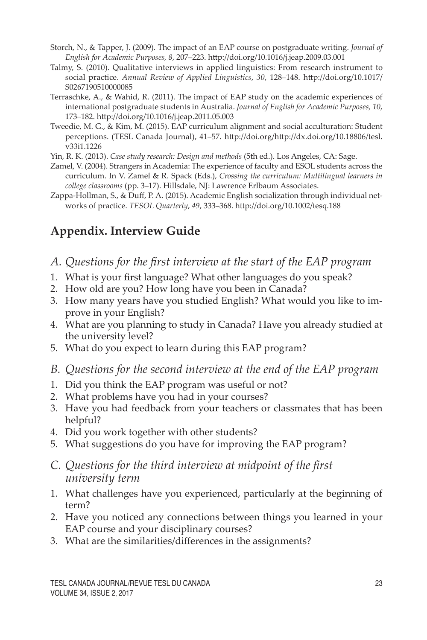- Storch, N., & Tapper, J. (2009). The impact of an EAP course on postgraduate writing. *Journal of English for Academic Purposes, 8*, 207–223. http://doi.org/10.1016/j.jeap.2009.03.001
- Talmy, S. (2010). Qualitative interviews in applied linguistics: From research instrument to social practice. *Annual Review of Applied Linguistics*, *30*, 128–148. http://doi.org/10.1017/ S0267190510000085
- Terraschke, A., & Wahid, R. (2011). The impact of EAP study on the academic experiences of international postgraduate students in Australia. *Journal of English for Academic Purposes, 10*, 173–182. http://doi.org/10.1016/j.jeap.2011.05.003
- Tweedie, M. G., & Kim, M. (2015). EAP curriculum alignment and social acculturation: Student perceptions. (TESL Canada Journal), 41–57. http://doi.org/http://dx.doi.org/10.18806/tesl. v33i1.1226
- Yin, R. K. (2013). *Case study research: Design and methods* (5th ed.). Los Angeles, CA: Sage.
- Zamel, V. (2004). Strangers in Academia: The experience of faculty and ESOL students across the curriculum. In V. Zamel & R. Spack (Eds.), *Crossing the curriculum: Multilingual learners in college classrooms* (pp. 3–17). Hillsdale, NJ: Lawrence Erlbaum Associates.
- Zappa‐Hollman, S., & Duff, P. A. (2015). Academic English socialization through individual networks of practice. *TESOL Quarterly*, *49*, 333–368. http://doi.org/10.1002/tesq.188

## **Appendix. Interview Guide**

- *A. Questions for the first interview at the start of the EAP program*
- 1. What is your first language? What other languages do you speak?
- 2. How old are you? How long have you been in Canada?
- 3. How many years have you studied English? What would you like to improve in your English?
- 4. What are you planning to study in Canada? Have you already studied at the university level?
- 5. What do you expect to learn during this EAP program?
- *B. Questions for the second interview at the end of the EAP program*
- 1. Did you think the EAP program was useful or not?
- 2. What problems have you had in your courses?
- 3. Have you had feedback from your teachers or classmates that has been helpful?
- 4. Did you work together with other students?
- 5. What suggestions do you have for improving the EAP program?
- *C. Questions for the third interview at midpoint of the first university term*
- 1. What challenges have you experienced, particularly at the beginning of term?
- 2. Have you noticed any connections between things you learned in your EAP course and your disciplinary courses?
- 3. What are the similarities/differences in the assignments?